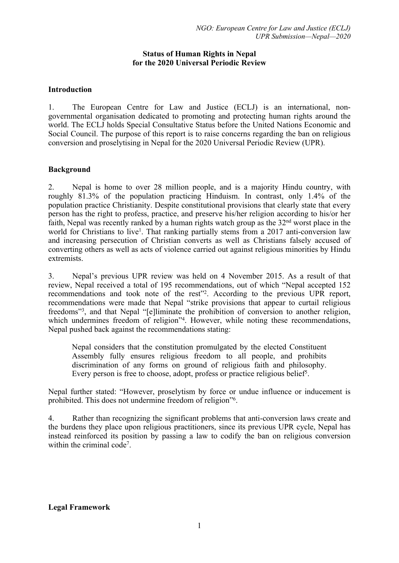### **Status of Human Rights in Nepal for the 2020 Universal Periodic Review**

## **Introduction**

1. The European Centre for Law and Justice (ECLJ) is an international, nongovernmental organisation dedicated to promoting and protecting human rights around the world. The ECLJ holds Special Consultative Status before the United Nations Economic and Social Council. The purpose of this repor<sup>t</sup> is to raise concerns regarding the ban on religious conversion and proselytising in Nepal for the 2020 Universal Periodic Review (UPR).

## **Background**

2. Nepal is home to over 28 million people, and is <sup>a</sup> majority Hindu country, with roughly 81.3% of the population practicing Hinduism. In contrast, only 1.4% of the population practice Christianity. Despite constitutional provisions that clearly state that every person has the right to profess, practice, and preserve his/her religion according to his/or her faith, Nepal was recently ranked by a human rights watch group as the  $32<sup>nd</sup>$  worst place in the world for Christians to live<sup>1</sup>. That ranking partially stems from a 2017 anti-conversion law and increasing persecution of Christian converts as well as Christians falsely accused of converting others as well as acts of violence carried out against religious minorities by Hindu extremists.

3. Nepal'<sup>s</sup> previous UPR review was held on 4 November 2015. As <sup>a</sup> result of that review, Nepal received <sup>a</sup> total of 195 recommendations, out of which "Nepal accepted 152 recommendations and took note of the rest<sup>12</sup>. According to the previous UPR report, recommendations were made that Nepal "strike provisions that appear to curtail religious freedoms"<sup>3</sup> , and that Nepal "[e]liminate the prohibition of conversion to another religion, which undermines freedom of religion<sup>24</sup>. However, while noting these recommendations, Nepal pushed back against the recommendations stating:

Nepal considers that the constitution promulgated by the elected Constituent Assembly fully ensures religious freedom to all people, and prohibits discrimination of any forms on ground of religious faith and philosophy. Every person is free to choose, adopt, profess or practice religious belief<sup>5</sup>.

Nepal further stated: "However, proselytism by force or undue influence or inducement is prohibited. This does not undermine freedom of religion"<sup>6</sup> .

4. Rather than recognizing the significant problems that anti-conversion laws create and the burdens they place upon religious practitioners, since its previous UPR cycle, Nepal has instead reinforced its position by passing <sup>a</sup> law to codify the ban on religious conversion within the criminal code<sup>7</sup>.

**Legal Framework**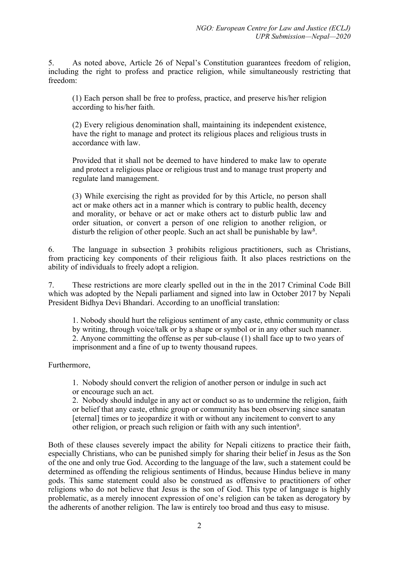5. As noted above, Article 26 of Nepal'<sup>s</sup> Constitution guarantees freedom of religion, including the right to profess and practice religion, while simultaneously restricting that freedom:

(1) Each person shall be free to profess, practice, and preserve his/her religion according to his/her faith.

(2) Every religious denomination shall, maintaining its independent existence, have the right to manage and protect its religious places and religious trusts in accordance with law.

Provided that it shall not be deemed to have hindered to make law to operate and protect <sup>a</sup> religious place or religious trust and to manage trust property and regulate land management.

(3) While exercising the right as provided for by this Article, no person shall act or make others act in <sup>a</sup> manner which is contrary to public health, decency and morality, or behave or act or make others act to disturb public law and order situation, or convert <sup>a</sup> person of one religion to another religion, or disturb the religion of other people. Such an act shall be punishable by law<sup>8</sup>.

6. The language in subsection 3 prohibits religious practitioners, such as Christians, from practicing key components of their religious faith. It also places restrictions on the ability of individuals to freely adopt <sup>a</sup> religion.

7. These restrictions are more clearly spelled out in the in the 2017 Criminal Code Bill which was adopted by the Nepali parliament and signed into law in October 2017 by Nepali President Bidhya Devi Bhandari. According to an unofficial translation:

1. Nobody should hurt the religious sentiment of any caste, ethnic community or class by writing, through voice/talk or by <sup>a</sup> shape or symbol or in any other such manner. 2. Anyone committing the offense as per sub-clause (1) shall face up to two years of imprisonment and <sup>a</sup> fine of up to twenty thousand rupees.

Furthermore,

1. Nobody should convert the religion of another person or indulge in such act or encourage such an act.

2. Nobody should indulge in any act or conduct so as to undermine the religion, faith or belief that any caste, ethnic group or community has been observing since sanatan [eternal] times or to jeopardize it with or without any incitement to convert to any other religion, or preach such religion or faith with any such intention<sup>9</sup>.

Both of these clauses severely impact the ability for Nepali citizens to practice their faith, especially Christians, who can be punished simply for sharing their belief in Jesus as the Son of the one and only true God. According to the language of the law, such <sup>a</sup> statement could be determined as offending the religious sentiments of Hindus, because Hindus believe in many gods. This same statement could also be construed as offensive to practitioners of other religions who do not believe that Jesus is the son of God. This type of language is highly problematic, as <sup>a</sup> merely innocent expression of one'<sup>s</sup> religion can be taken as derogatory by the adherents of another religion. The law is entirely too broad and thus easy to misuse.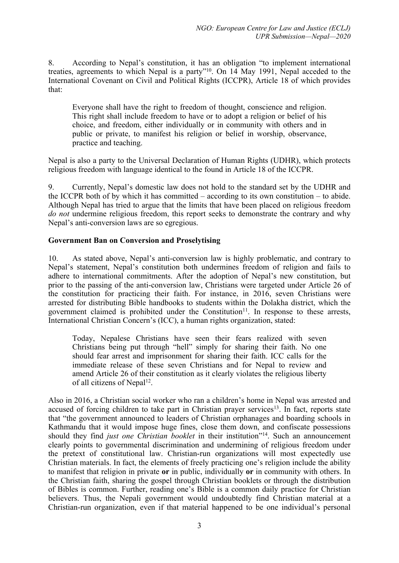8. According to Nepal'<sup>s</sup> constitution, it has an obligation "to implement international treaties, agreements to which Nepal is a party"<sup>10</sup>. On 14 May 1991, Nepal acceded to the International Covenant on Civil and Political Rights (ICCPR), Article 18 of which provides that:

Everyone shall have the right to freedom of thought, conscience and religion. This right shall include freedom to have or to adopt <sup>a</sup> religion or belief of his choice, and freedom, either individually or in community with others and in public or private, to manifest his religion or belief in worship, observance, practice and teaching.

Nepal is also <sup>a</sup> party to the Universal Declaration of Human Rights (UDHR), which protects religious freedom with language identical to the found in Article 18 of the ICCPR.

9. Currently, Nepal'<sup>s</sup> domestic law does not hold to the standard set by the UDHR and the ICCPR both of by which it has committed – according to its own constitution – to abide. Although Nepal has tried to argue that the limits that have been placed on religious freedom *do not* undermine religious freedom, this repor<sup>t</sup> seeks to demonstrate the contrary and why Nepal'<sup>s</sup> anti-conversion laws are so egregious.

# **Government Ban on Conversion and Proselytising**

10. As stated above, Nepal'<sup>s</sup> anti-conversion law is highly problematic, and contrary to Nepal'<sup>s</sup> statement, Nepal'<sup>s</sup> constitution both undermines freedom of religion and fails to adhere to international commitments. After the adoption of Nepal'<sup>s</sup> new constitution, but prior to the passing of the anti-conversion law, Christians were targeted under Article 26 of the constitution for practicing their faith. For instance, in 2016, seven Christians were arrested for distributing Bible handbooks to students within the Dolakha district, which the government claimed is prohibited under the Constitution $11$ . In response to these arrests, International Christian Concern'<sup>s</sup> (ICC), <sup>a</sup> human rights organization, stated:

Today, Nepalese Christians have seen their fears realized with seven Christians being pu<sup>t</sup> through "hell" simply for sharing their faith. No one should fear arrest and imprisonment for sharing their faith. ICC calls for the immediate release of these seven Christians and for Nepal to review and amend Article 26 of their constitution as it clearly violates the religious liberty of all citizens of Nepal<sup>12</sup>.

Also in 2016, <sup>a</sup> Christian social worker who ran <sup>a</sup> children'<sup>s</sup> home in Nepal was arrested and accused of forcing children to take part in Christian prayer services<sup>13</sup>. In fact, reports state that "the governmen<sup>t</sup> announced to leaders of Christian orphanages and boarding schools in Kathmandu that it would impose huge fines, close them down, and confiscate possessions should they find *just one Christian booklet* in their institution"<sup>14</sup> . Such an announcement clearly points to governmental discrimination and undermining of religious freedom under the pretext of constitutional law. Christian-run organizations will most expectedly use Christian materials. In fact, the elements of freely practicing one'<sup>s</sup> religion include the ability to manifest that religion in private **or** in public, individually **or** in community with others. In the Christian faith, sharing the gospel through Christian booklets or through the distribution of Bibles is common. Further, reading one'<sup>s</sup> Bible is <sup>a</sup> common daily practice for Christian believers. Thus, the Nepali governmen<sup>t</sup> would undoubtedly find Christian material at <sup>a</sup> Christian-run organization, even if that material happened to be one individual'<sup>s</sup> personal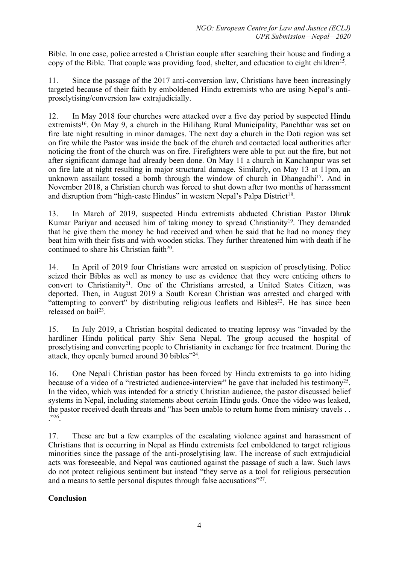Bible. In one case, police arrested <sup>a</sup> Christian couple after searching their house and finding <sup>a</sup> copy of the Bible. That couple was providing food, shelter, and education to eight children<sup>15</sup>

11. Since the passage of the 2017 anti-conversion law, Christians have been increasingly targeted because of their faith by emboldened Hindu extremists who are using Nepal'<sup>s</sup> antiproselytising/conversion law extrajudicially.

12. In May 2018 four churches were attacked over <sup>a</sup> five day period by suspected Hindu extremists<sup>16</sup>. On May 9, a church in the Hilihang Rural Municipality, Panchthar was set on fire late night resulting in minor damages. The next day <sup>a</sup> church in the Doti region was set on fire while the Pastor was inside the back of the church and contacted local authorities after noticing the front of the church was on fire. Firefighters were able to pu<sup>t</sup> out the fire, but not after significant damage had already been done. On May 11 <sup>a</sup> church in Kanchanpur was set on fire late at night resulting in major structural damage. Similarly, on May 13 at 11pm, an unknown assailant tossed a bomb through the window of church in Dhangadhi<sup>17</sup>. And in November 2018, <sup>a</sup> Christian church was forced to shut down after two months of harassment and disruption from "high-caste Hindus" in western Nepal's Palpa District<sup>18</sup>.

13. In March of 2019, suspected Hindu extremists abducted Christian Pastor Dhruk Kumar Pariyar and accused him of taking money to spread Christianity<sup>19</sup>. They demanded that he give them the money he had received and when he said that he had no money they beat him with their fists and with wooden sticks. They further threatened him with death if he continued to share his Christian faith $^{20}$ .

14. In April of 2019 four Christians were arrested on suspicion of proselytising. Police seized their Bibles as well as money to use as evidence that they were enticing others to convert to Christianity<sup>21</sup>. One of the Christians arrested, a United States Citizen, was deported. Then, in August 2019 <sup>a</sup> South Korean Christian was arrested and charged with "attempting to convert" by distributing religious leaflets and Bibles 22 . He has since been released on bail<sup>23</sup>.

15. In July 2019, <sup>a</sup> Christian hospital dedicated to treating leprosy was "invaded by the hardliner Hindu political party Shiv Sena Nepal. The group accused the hospital of proselytising and converting people to Christianity in exchange for free treatment. During the attack, they openly burned around 30 bibles"<sup>24</sup>.

16. One Nepali Christian pastor has been forced by Hindu extremists to go into hiding because of a video of a "restricted audience-interview" he gave that included his testimony<sup>25</sup>. In the video, which was intended for <sup>a</sup> strictly Christian audience, the pastor discussed belief systems in Nepal, including statements about certain Hindu gods. Once the video was leaked, the pastor received death threats and "has been unable to return home from ministry travels . . ."<sup>26</sup> .

17. These are but <sup>a</sup> few examples of the escalating violence against and harassment of Christians that is occurring in Nepal as Hindu extremists feel emboldened to target religious minorities since the passage of the anti-proselytising law. The increase of such extrajudicial acts was foreseeable, and Nepal was cautioned against the passage of such <sup>a</sup> law. Such laws do not protect religious sentiment but instead "they serve as <sup>a</sup> tool for religious persecution and a means to settle personal disputes through false accusations"<sup>27</sup>.

# **Conclusion**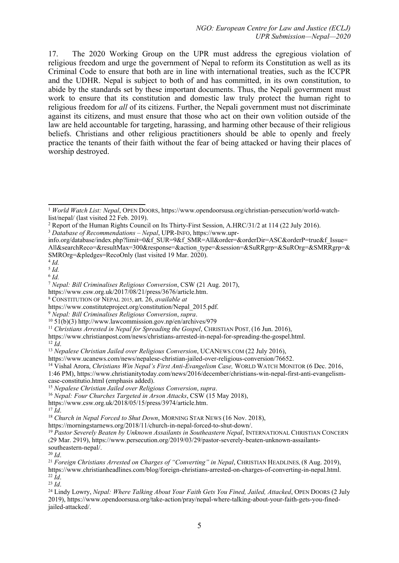17. The 2020 Working Group on the UPR must address the egregious violation of religious freedom and urge the governmen<sup>t</sup> of Nepal to reform its Constitution as well as its Criminal Code to ensure that both are in line with international treaties, such as the ICCPR and the UDHR. Nepal is subject to both of and has committed, in its own constitution, to abide by the standards set by these important documents. Thus, the Nepali governmen<sup>t</sup> must work to ensure that its constitution and domestic law truly protect the human right to religious freedom for *all* of its citizens. Further, the Nepali governmen<sup>t</sup> must not discriminate against its citizens, and must ensure that those who act on their own volition outside of the law are held accountable for targeting, harassing, and harming other because of their religious beliefs. Christians and other religious practitioners should be able to openly and freely practice the tenants of their faith without the fear of being attacked or having their places of worship destroyed.

1:46 PM), https://www.christianitytoday.com/news/2016/december/christians-win-nepal-first-anti-evangelismcase-constitutio.html (emphasis added).

<sup>15</sup> *Nepalese Christian Jailed over Religious Conversion*, *supra*.

https://morningstarnews.org/2018/11/church-in-nepal-forced-to-shut-down/.

19 *Pastor Severely Beaten by Unknown Assailants in Southeastern Nepal*, INTERNATIONAL CHRISTIAN CONCERN (29 Mar. 2919), https://www.persecution.org/2019/03/29/pastor-severely-beaten-unknown-assailantssoutheastern-nepal/.

20 *Id*.

23 *Id*.

<sup>1</sup> *World Watch List: Nepal*, OPEN <sup>D</sup>OORS, https://www.opendoorsusa.org/christian-persecution/world-watchlist/nepal/ (last visited 22 Feb. 2019).

<sup>2</sup> Report of the Human Rights Council on Its Thirty-First Session, A.HRC/31/2 at <sup>114</sup> (22 July 2016).

<sup>3</sup> *Database of Recommendations – Nepal*, UPR-INFO, https://www.upr-

info.org/database/index.php?limit=0&f\_SUR=9&f\_SMR=All&order=&orderDir=ASC&orderP=true&f\_Issue= All&searchReco=&resultMax=300&response=&action\_type=&session=&SuRRgrp=&SuROrg=&SMRRgrp=& SMROrg=&pledges=RecoOnly (last visited 19 Mar. 2020).

<sup>4</sup> *Id.*

<sup>5</sup> *Id.*

<sup>6</sup> *Id.*

<sup>7</sup> *Nepal: Bill Criminalises Religious Conversion*, CSW (21 Aug. 2017),

https://www.csw.org.uk/2017/08/21/press/3676/article.htm.

<sup>8</sup> CONSTITUTION OF NEPAL 2015, art. 26, *available at*

https://www.constituteproject.org/constitution/Nepal\_2015.pdf.

<sup>9</sup> *Nepal: Bill Criminalises Religious Conversion*, *supra*.

<sup>10</sup> 51(b)(3) http://www.lawcommission.gov.np/en/archives/979

<sup>11</sup> *Christians Arrested in Nepal for Spreading the Gospel*, CHRISTIAN <sup>P</sup>OST, (16 Jun. 2016),

https://www.christianpost.com/news/christians-arrested-in-nepal-for-spreading-the-gospel.html.

<sup>12</sup> *Id*.

<sup>13</sup> *Nepalese Christian Jailed over Religious Conversion*, UCANEWS.COM (22 July 2016),

https://www.ucanews.com/news/nepalese-christian-jailed-over-religious-conversion/76652.

<sup>14</sup> Vishal Arora, *Christians Win Nepal'<sup>s</sup> First Anti-Evangelism Case,* <sup>W</sup>ORLD <sup>W</sup>ATCH <sup>M</sup>ONITOR (6 Dec. 2016,

<sup>16</sup> *Nepal: Four Churches Targeted in Arson Attacks*, CSW (15 May 2018),

https://www.csw.org.uk/2018/05/15/press/3974/article.htm.

<sup>17</sup> *Id*.

<sup>18</sup> *Church in Nepal Forced to Shut Down*, <sup>M</sup>ORNING STAR <sup>N</sup>EWS (16 Nov. 2018),

<sup>21</sup> *Foreign Christians Arrested on Charges of "Converting" in Nepal*, CHRISTIAN HEADLINES, (8 Aug. 2019), https://www.christianheadlines.com/blog/foreign-christians-arrested-on-charges-of-converting-in-nepal.html. 22 *Id*.

<sup>24</sup> Lindy Lowry, *Nepal: Where Talking About Your Faith Gets You Fined, Jailed, Attacked*, OPEN DOORS (2 July 2019), https://www.opendoorsusa.org/take-action/pray/nepal-where-talking-about-your-faith-gets-you-finedjailed-attacked/.